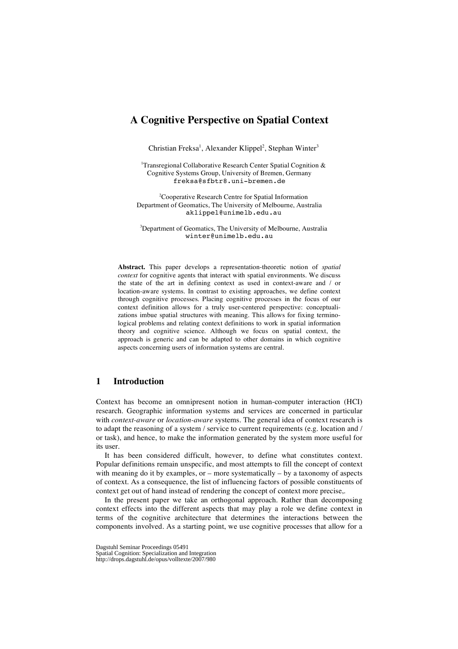# **A Cognitive Perspective on Spatial Context**

Christian Freksa<sup>1</sup>, Alexander Klippel<sup>2</sup>, Stephan Winter<sup>3</sup>

<sup>1</sup>Transregional Collaborative Research Center Spatial Cognition & Cognitive Systems Group, University of Bremen, Germany freksa@sfbtr8.uni-bremen.de

<sup>2</sup>Cooperative Research Centre for Spatial Information Department of Geomatics, The University of Melbourne, Australia aklippel@unimelb.edu.au

3 Department of Geomatics, The University of Melbourne, Australia winter@unimelb.edu.au

**Abstract.** This paper develops a representation-theoretic notion of *spatial context* for cognitive agents that interact with spatial environments. We discuss the state of the art in defining context as used in context-aware and / or location-aware systems. In contrast to existing approaches, we define context through cognitive processes. Placing cognitive processes in the focus of our context definition allows for a truly user-centered perspective: conceptualizations imbue spatial structures with meaning. This allows for fixing terminological problems and relating context definitions to work in spatial information theory and cognitive science. Although we focus on spatial context, the approach is generic and can be adapted to other domains in which cognitive aspects concerning users of information systems are central.

## **1 Introduction**

Context has become an omnipresent notion in human-computer interaction (HCI) research. Geographic information systems and services are concerned in particular with *context-aware* or *location-aware* systems. The general idea of context research is to adapt the reasoning of a system / service to current requirements (e.g. location and / or task), and hence, to make the information generated by the system more useful for its user.

It has been considered difficult, however, to define what constitutes context. Popular definitions remain unspecific, and most attempts to fill the concept of context with meaning do it by examples, or  $-$  more systematically  $-$  by a taxonomy of aspects of context. As a consequence, the list of influencing factors of possible constituents of context get out of hand instead of rendering the concept of context more precise,.

In the present paper we take an orthogonal approach. Rather than decomposing context effects into the different aspects that may play a role we define context in terms of the cognitive architecture that determines the interactions between the components involved. As a starting point, we use cognitive processes that allow for a

Spatial Cognition: Specialization and Integration

http://drops.dagstuhl.de/opus/volltexte/2007/980

Dagstuhl Seminar Proceedings 05491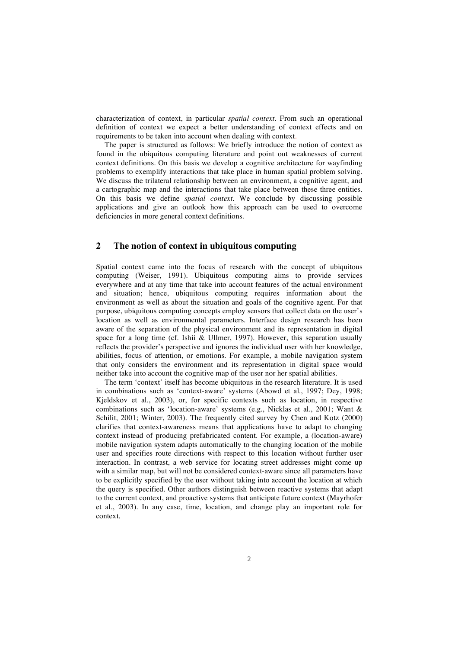characterization of context, in particular *spatial context*. From such an operational definition of context we expect a better understanding of context effects and on requirements to be taken into account when dealing with context.

The paper is structured as follows: We briefly introduce the notion of context as found in the ubiquitous computing literature and point out weaknesses of current context definitions. On this basis we develop a cognitive architecture for wayfinding problems to exemplify interactions that take place in human spatial problem solving. We discuss the trilateral relationship between an environment, a cognitive agent, and a cartographic map and the interactions that take place between these three entities. On this basis we define *spatial context*. We conclude by discussing possible applications and give an outlook how this approach can be used to overcome deficiencies in more general context definitions.

## **2 The notion of context in ubiquitous computing**

Spatial context came into the focus of research with the concept of ubiquitous computing (Weiser, 1991). Ubiquitous computing aims to provide services everywhere and at any time that take into account features of the actual environment and situation; hence, ubiquitous computing requires information about the environment as well as about the situation and goals of the cognitive agent. For that purpose, ubiquitous computing concepts employ sensors that collect data on the user's location as well as environmental parameters. Interface design research has been aware of the separation of the physical environment and its representation in digital space for a long time (cf. Ishii & Ullmer, 1997). However, this separation usually reflects the provider's perspective and ignores the individual user with her knowledge, abilities, focus of attention, or emotions. For example, a mobile navigation system that only considers the environment and its representation in digital space would neither take into account the cognitive map of the user nor her spatial abilities.

The term 'context' itself has become ubiquitous in the research literature. It is used in combinations such as 'context-aware' systems (Abowd et al., 1997; Dey, 1998; Kjeldskov et al., 2003), or, for specific contexts such as location, in respective combinations such as 'location-aware' systems (e.g., Nicklas et al., 2001; Want & Schilit, 2001; Winter, 2003). The frequently cited survey by Chen and Kotz (2000) clarifies that context-awareness means that applications have to adapt to changing context instead of producing prefabricated content. For example, a (location-aware) mobile navigation system adapts automatically to the changing location of the mobile user and specifies route directions with respect to this location without further user interaction. In contrast, a web service for locating street addresses might come up with a similar map, but will not be considered context-aware since all parameters have to be explicitly specified by the user without taking into account the location at which the query is specified. Other authors distinguish between reactive systems that adapt to the current context, and proactive systems that anticipate future context (Mayrhofer et al., 2003). In any case, time, location, and change play an important role for context.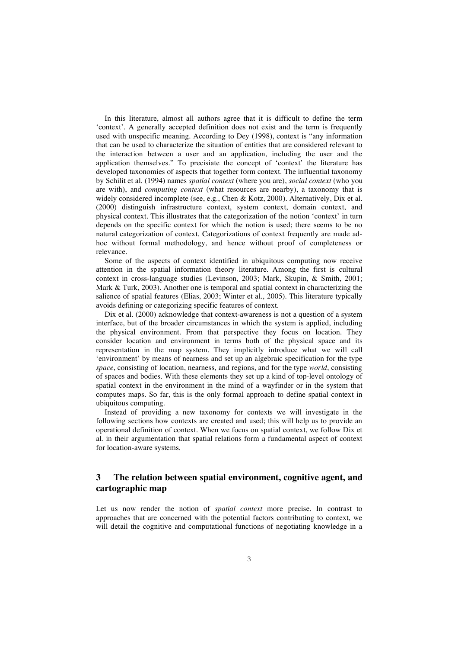In this literature, almost all authors agree that it is difficult to define the term 'context'. A generally accepted definition does not exist and the term is frequently used with unspecific meaning. According to Dey (1998), context is "any information that can be used to characterize the situation of entities that are considered relevant to the interaction between a user and an application, including the user and the application themselves." To precisiate the concept of 'context' the literature has developed taxonomies of aspects that together form context. The influential taxonomy by Schilit et al. (1994) names *spatial context* (where you are), *social context* (who you are with), and *computing context* (what resources are nearby), a taxonomy that is widely considered incomplete (see, e.g., Chen & Kotz, 2000). Alternatively, Dix et al. (2000) distinguish infrastructure context, system context, domain context, and physical context. This illustrates that the categorization of the notion 'context' in turn depends on the specific context for which the notion is used; there seems to be no natural categorization of context. Categorizations of context frequently are made adhoc without formal methodology, and hence without proof of completeness or relevance.

Some of the aspects of context identified in ubiquitous computing now receive attention in the spatial information theory literature. Among the first is cultural context in cross-language studies (Levinson, 2003; Mark, Skupin, & Smith, 2001; Mark & Turk, 2003). Another one is temporal and spatial context in characterizing the salience of spatial features (Elias, 2003; Winter et al., 2005). This literature typically avoids defining or categorizing specific features of context.

Dix et al. (2000) acknowledge that context-awareness is not a question of a system interface, but of the broader circumstances in which the system is applied, including the physical environment. From that perspective they focus on location. They consider location and environment in terms both of the physical space and its representation in the map system. They implicitly introduce what we will call 'environment' by means of nearness and set up an algebraic specification for the type *space*, consisting of location, nearness, and regions, and for the type *world*, consisting of spaces and bodies. With these elements they set up a kind of top-level ontology of spatial context in the environment in the mind of a wayfinder or in the system that computes maps. So far, this is the only formal approach to define spatial context in ubiquitous computing.

Instead of providing a new taxonomy for contexts we will investigate in the following sections how contexts are created and used; this will help us to provide an operational definition of context. When we focus on spatial context, we follow Dix et al. in their argumentation that spatial relations form a fundamental aspect of context for location-aware systems.

# **3 The relation between spatial environment, cognitive agent, and cartographic map**

Let us now render the notion of *spatial context* more precise. In contrast to approaches that are concerned with the potential factors contributing to context, we will detail the cognitive and computational functions of negotiating knowledge in a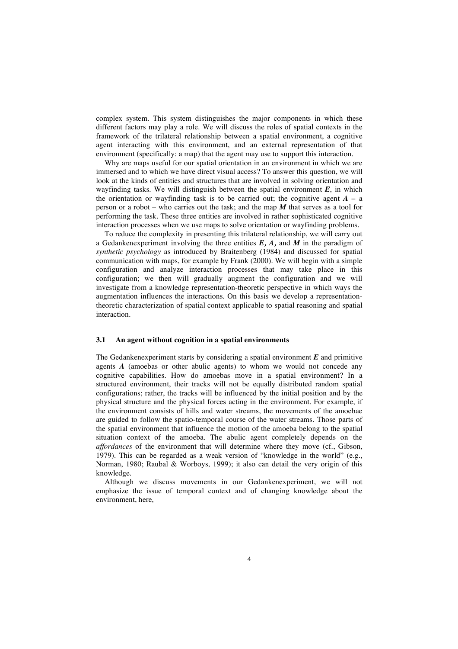complex system. This system distinguishes the major components in which these different factors may play a role. We will discuss the roles of spatial contexts in the framework of the trilateral relationship between a spatial environment, a cognitive agent interacting with this environment, and an external representation of that environment (specifically: a map) that the agent may use to support this interaction.

Why are maps useful for our spatial orientation in an environment in which we are immersed and to which we have direct visual access? To answer this question, we will look at the kinds of entities and structures that are involved in solving orientation and wayfinding tasks. We will distinguish between the spatial environment *E*, in which the orientation or wayfinding task is to be carried out; the cognitive agent  $A - a$ person or a robot – who carries out the task; and the map *M* that serves as a tool for performing the task. These three entities are involved in rather sophisticated cognitive interaction processes when we use maps to solve orientation or wayfinding problems.

To reduce the complexity in presenting this trilateral relationship, we will carry out a Gedankenexperiment involving the three entities *E, A,* and *M* in the paradigm of *synthetic psychology* as introduced by Braitenberg (1984) and discussed for spatial communication with maps, for example by Frank (2000). We will begin with a simple configuration and analyze interaction processes that may take place in this configuration; we then will gradually augment the configuration and we will investigate from a knowledge representation-theoretic perspective in which ways the augmentation influences the interactions. On this basis we develop a representationtheoretic characterization of spatial context applicable to spatial reasoning and spatial interaction.

#### **3.1 An agent without cognition in a spatial environments**

The Gedankenexperiment starts by considering a spatial environment *E* and primitive agents *A* (amoebas or other abulic agents) to whom we would not concede any cognitive capabilities. How do amoebas move in a spatial environment? In a structured environment, their tracks will not be equally distributed random spatial configurations; rather, the tracks will be influenced by the initial position and by the physical structure and the physical forces acting in the environment. For example, if the environment consists of hills and water streams, the movements of the amoebae are guided to follow the spatio-temporal course of the water streams. Those parts of the spatial environment that influence the motion of the amoeba belong to the spatial situation context of the amoeba. The abulic agent completely depends on the *affordances* of the environment that will determine where they move (cf., Gibson, 1979). This can be regarded as a weak version of "knowledge in the world" (e.g., Norman, 1980; Raubal & Worboys, 1999); it also can detail the very origin of this knowledge.

Although we discuss movements in our Gedankenexperiment, we will not emphasize the issue of temporal context and of changing knowledge about the environment, here,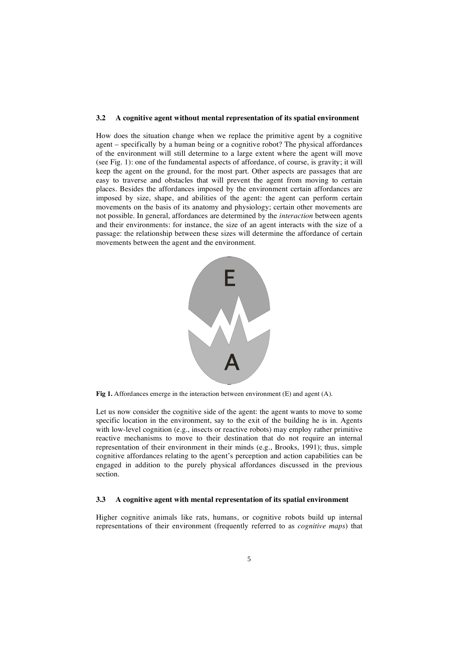#### **3.2 A cognitive agent without mental representation of its spatial environment**

How does the situation change when we replace the primitive agent by a cognitive agent – specifically by a human being or a cognitive robot? The physical affordances of the environment will still determine to a large extent where the agent will move (see Fig. 1): one of the fundamental aspects of affordance, of course, is gravity; it will keep the agent on the ground, for the most part. Other aspects are passages that are easy to traverse and obstacles that will prevent the agent from moving to certain places. Besides the affordances imposed by the environment certain affordances are imposed by size, shape, and abilities of the agent: the agent can perform certain movements on the basis of its anatomy and physiology; certain other movements are not possible. In general, affordances are determined by the *interaction* between agents and their environments: for instance, the size of an agent interacts with the size of a passage: the relationship between these sizes will determine the affordance of certain movements between the agent and the environment.



**Fig 1.** Affordances emerge in the interaction between environment (E) and agent (A).

Let us now consider the cognitive side of the agent: the agent wants to move to some specific location in the environment, say to the exit of the building he is in. Agents with low-level cognition (e.g., insects or reactive robots) may employ rather primitive reactive mechanisms to move to their destination that do not require an internal representation of their environment in their minds (e.g., Brooks, 1991); thus, simple cognitive affordances relating to the agent's perception and action capabilities can be engaged in addition to the purely physical affordances discussed in the previous section.

#### **3.3 A cognitive agent with mental representation of its spatial environment**

Higher cognitive animals like rats, humans, or cognitive robots build up internal representations of their environment (frequently referred to as *cognitive maps*) that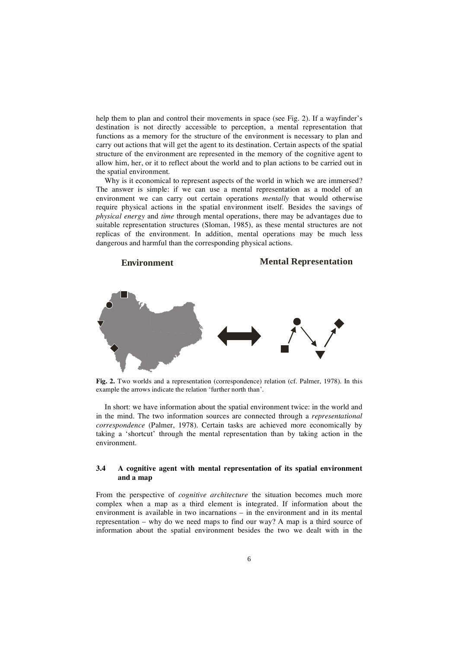help them to plan and control their movements in space (see Fig. 2). If a wayfinder's destination is not directly accessible to perception, a mental representation that functions as a memory for the structure of the environment is necessary to plan and carry out actions that will get the agent to its destination. Certain aspects of the spatial structure of the environment are represented in the memory of the cognitive agent to allow him, her, or it to reflect about the world and to plan actions to be carried out in the spatial environment.

Why is it economical to represent aspects of the world in which we are immersed? The answer is simple: if we can use a mental representation as a model of an environment we can carry out certain operations *mentally* that would otherwise require physical actions in the spatial environment itself. Besides the savings of *physical energy* and *time* through mental operations, there may be advantages due to suitable representation structures (Sloman, 1985), as these mental structures are not replicas of the environment. In addition, mental operations may be much less dangerous and harmful than the corresponding physical actions.



**Fig. 2.** Two worlds and a representation (correspondence) relation (cf. Palmer, 1978). In this example the arrows indicate the relation 'further north than'.

In short: we have information about the spatial environment twice: in the world and in the mind. The two information sources are connected through a *representational correspondence* (Palmer, 1978). Certain tasks are achieved more economically by taking a 'shortcut' through the mental representation than by taking action in the environment.

### **3.4 A cognitive agent with mental representation of its spatial environment and a map**

From the perspective of *cognitive architecture* the situation becomes much more complex when a map as a third element is integrated. If information about the environment is available in two incarnations – in the environment and in its mental representation – why do we need maps to find our way? A map is a third source of information about the spatial environment besides the two we dealt with in the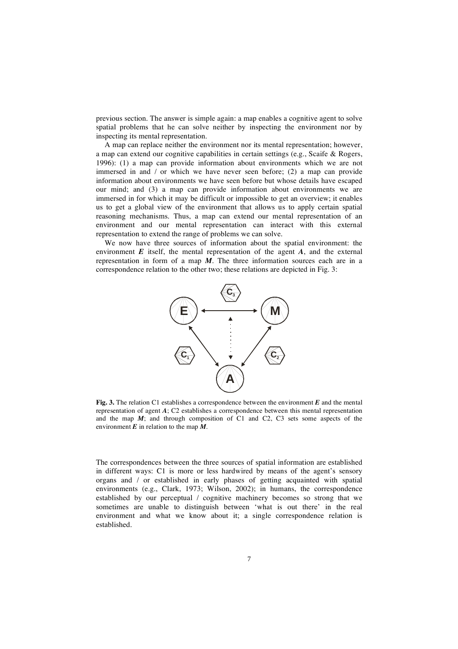previous section. The answer is simple again: a map enables a cognitive agent to solve spatial problems that he can solve neither by inspecting the environment nor by inspecting its mental representation.

A map can replace neither the environment nor its mental representation; however, a map can extend our cognitive capabilities in certain settings (e.g., Scaife & Rogers, 1996): (1) a map can provide information about environments which we are not immersed in and / or which we have never seen before; (2) a map can provide information about environments we have seen before but whose details have escaped our mind; and (3) a map can provide information about environments we are immersed in for which it may be difficult or impossible to get an overview; it enables us to get a global view of the environment that allows us to apply certain spatial reasoning mechanisms. Thus, a map can extend our mental representation of an environment and our mental representation can interact with this external representation to extend the range of problems we can solve.

We now have three sources of information about the spatial environment: the environment *E* itself, the mental representation of the agent *A*, and the external representation in form of a map *M*. The three information sources each are in a correspondence relation to the other two; these relations are depicted in Fig. 3:



**Fig. 3.** The relation C1 establishes a correspondence between the environment *E* and the mental representation of agent *A*; C2 establishes a correspondence between this mental representation and the map *M*; and through composition of C1 and C2, C3 sets some aspects of the environment  $\vec{E}$  in relation to the map  $\vec{M}$ .

The correspondences between the three sources of spatial information are established in different ways: C1 is more or less hardwired by means of the agent's sensory organs and / or established in early phases of getting acquainted with spatial environments (e.g., Clark, 1973; Wilson, 2002); in humans, the correspondence established by our perceptual / cognitive machinery becomes so strong that we sometimes are unable to distinguish between 'what is out there' in the real environment and what we know about it; a single correspondence relation is established.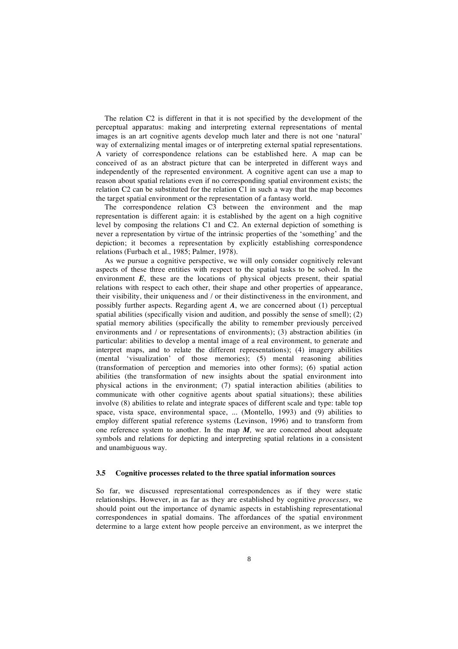The relation C2 is different in that it is not specified by the development of the perceptual apparatus: making and interpreting external representations of mental images is an art cognitive agents develop much later and there is not one 'natural' way of externalizing mental images or of interpreting external spatial representations. A variety of correspondence relations can be established here. A map can be conceived of as an abstract picture that can be interpreted in different ways and independently of the represented environment. A cognitive agent can use a map to reason about spatial relations even if no corresponding spatial environment exists; the relation C2 can be substituted for the relation C1 in such a way that the map becomes the target spatial environment or the representation of a fantasy world.

The correspondence relation C3 between the environment and the map representation is different again: it is established by the agent on a high cognitive level by composing the relations C1 and C2. An external depiction of something is never a representation by virtue of the intrinsic properties of the 'something' and the depiction; it becomes a representation by explicitly establishing correspondence relations (Furbach et al., 1985; Palmer, 1978).

As we pursue a cognitive perspective, we will only consider cognitively relevant aspects of these three entities with respect to the spatial tasks to be solved. In the environment *E*, these are the locations of physical objects present, their spatial relations with respect to each other, their shape and other properties of appearance, their visibility, their uniqueness and / or their distinctiveness in the environment, and possibly further aspects. Regarding agent *A*, we are concerned about (1) perceptual spatial abilities (specifically vision and audition, and possibly the sense of smell); (2) spatial memory abilities (specifically the ability to remember previously perceived environments and / or representations of environments); (3) abstraction abilities (in particular: abilities to develop a mental image of a real environment, to generate and interpret maps, and to relate the different representations); (4) imagery abilities (mental 'visualization' of those memories); (5) mental reasoning abilities (transformation of perception and memories into other forms); (6) spatial action abilities (the transformation of new insights about the spatial environment into physical actions in the environment; (7) spatial interaction abilities (abilities to communicate with other cognitive agents about spatial situations); these abilities involve (8) abilities to relate and integrate spaces of different scale and type: table top space, vista space, environmental space, ... (Montello, 1993) and (9) abilities to employ different spatial reference systems (Levinson, 1996) and to transform from one reference system to another. In the map  $M$ , we are concerned about adequate symbols and relations for depicting and interpreting spatial relations in a consistent and unambiguous way.

#### **3.5 Cognitive processes related to the three spatial information sources**

So far, we discussed representational correspondences as if they were static relationships. However, in as far as they are established by cognitive *processes*, we should point out the importance of dynamic aspects in establishing representational correspondences in spatial domains. The affordances of the spatial environment determine to a large extent how people perceive an environment, as we interpret the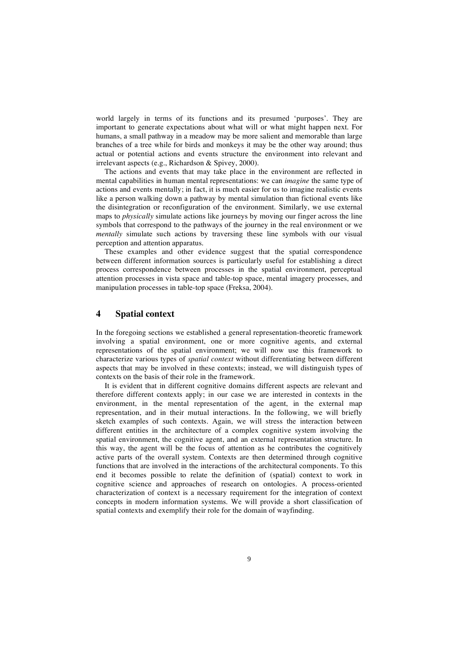world largely in terms of its functions and its presumed 'purposes'. They are important to generate expectations about what will or what might happen next. For humans, a small pathway in a meadow may be more salient and memorable than large branches of a tree while for birds and monkeys it may be the other way around; thus actual or potential actions and events structure the environment into relevant and irrelevant aspects (e.g., Richardson & Spivey, 2000).

The actions and events that may take place in the environment are reflected in mental capabilities in human mental representations: we can *imagine* the same type of actions and events mentally; in fact, it is much easier for us to imagine realistic events like a person walking down a pathway by mental simulation than fictional events like the disintegration or reconfiguration of the environment. Similarly, we use external maps to *physically* simulate actions like journeys by moving our finger across the line symbols that correspond to the pathways of the journey in the real environment or we *mentally* simulate such actions by traversing these line symbols with our visual perception and attention apparatus.

These examples and other evidence suggest that the spatial correspondence between different information sources is particularly useful for establishing a direct process correspondence between processes in the spatial environment, perceptual attention processes in vista space and table-top space, mental imagery processes, and manipulation processes in table-top space (Freksa, 2004).

### **4 Spatial context**

In the foregoing sections we established a general representation-theoretic framework involving a spatial environment, one or more cognitive agents, and external representations of the spatial environment; we will now use this framework to characterize various types of *spatial context* without differentiating between different aspects that may be involved in these contexts; instead, we will distinguish types of contexts on the basis of their role in the framework.

It is evident that in different cognitive domains different aspects are relevant and therefore different contexts apply; in our case we are interested in contexts in the environment, in the mental representation of the agent, in the external map representation, and in their mutual interactions. In the following, we will briefly sketch examples of such contexts. Again, we will stress the interaction between different entities in the architecture of a complex cognitive system involving the spatial environment, the cognitive agent, and an external representation structure. In this way, the agent will be the focus of attention as he contributes the cognitively active parts of the overall system. Contexts are then determined through cognitive functions that are involved in the interactions of the architectural components. To this end it becomes possible to relate the definition of (spatial) context to work in cognitive science and approaches of research on ontologies. A process-oriented characterization of context is a necessary requirement for the integration of context concepts in modern information systems. We will provide a short classification of spatial contexts and exemplify their role for the domain of wayfinding.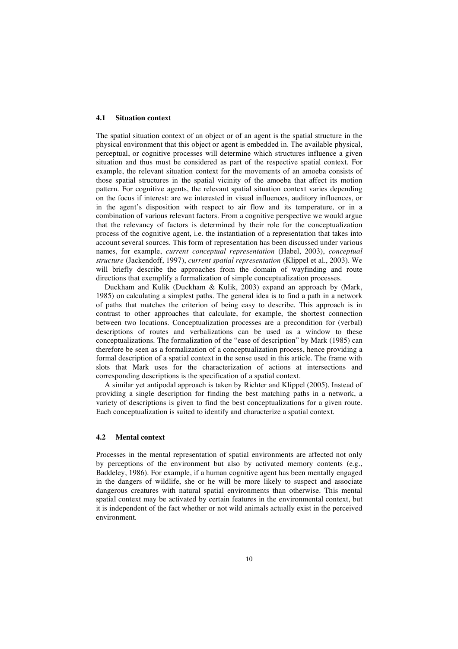#### **4.1 Situation context**

The spatial situation context of an object or of an agent is the spatial structure in the physical environment that this object or agent is embedded in. The available physical, perceptual, or cognitive processes will determine which structures influence a given situation and thus must be considered as part of the respective spatial context. For example, the relevant situation context for the movements of an amoeba consists of those spatial structures in the spatial vicinity of the amoeba that affect its motion pattern. For cognitive agents, the relevant spatial situation context varies depending on the focus if interest: are we interested in visual influences, auditory influences, or in the agent's disposition with respect to air flow and its temperature, or in a combination of various relevant factors. From a cognitive perspective we would argue that the relevancy of factors is determined by their role for the conceptualization process of the cognitive agent, i.e. the instantiation of a representation that takes into account several sources. This form of representation has been discussed under various names, for example, *current conceptual representation* (Habel, 2003), *conceptual structure* (Jackendoff, 1997), *current spatial representation* (Klippel et al., 2003). We will briefly describe the approaches from the domain of wayfinding and route directions that exemplify a formalization of simple conceptualization processes.

Duckham and Kulik (Duckham & Kulik, 2003) expand an approach by (Mark, 1985) on calculating a simplest paths. The general idea is to find a path in a network of paths that matches the criterion of being easy to describe. This approach is in contrast to other approaches that calculate, for example, the shortest connection between two locations. Conceptualization processes are a precondition for (verbal) descriptions of routes and verbalizations can be used as a window to these conceptualizations. The formalization of the "ease of description" by Mark (1985) can therefore be seen as a formalization of a conceptualization process, hence providing a formal description of a spatial context in the sense used in this article. The frame with slots that Mark uses for the characterization of actions at intersections and corresponding descriptions is the specification of a spatial context.

A similar yet antipodal approach is taken by Richter and Klippel (2005). Instead of providing a single description for finding the best matching paths in a network, a variety of descriptions is given to find the best conceptualizations for a given route. Each conceptualization is suited to identify and characterize a spatial context.

### **4.2 Mental context**

Processes in the mental representation of spatial environments are affected not only by perceptions of the environment but also by activated memory contents (e.g., Baddeley, 1986). For example, if a human cognitive agent has been mentally engaged in the dangers of wildlife, she or he will be more likely to suspect and associate dangerous creatures with natural spatial environments than otherwise. This mental spatial context may be activated by certain features in the environmental context, but it is independent of the fact whether or not wild animals actually exist in the perceived environment.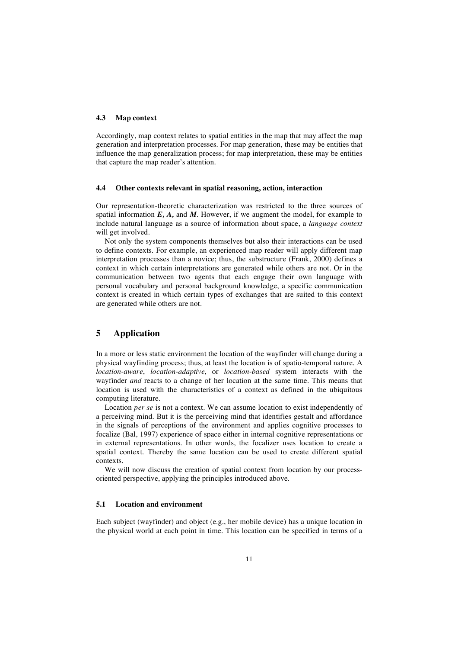### **4.3 Map context**

Accordingly, map context relates to spatial entities in the map that may affect the map generation and interpretation processes. For map generation, these may be entities that influence the map generalization process; for map interpretation, these may be entities that capture the map reader's attention.

#### **4.4 Other contexts relevant in spatial reasoning, action, interaction**

Our representation-theoretic characterization was restricted to the three sources of spatial information *E, A,* and *M*. However, if we augment the model, for example to include natural language as a source of information about space, a *language context* will get involved.

Not only the system components themselves but also their interactions can be used to define contexts. For example, an experienced map reader will apply different map interpretation processes than a novice; thus, the substructure (Frank, 2000) defines a context in which certain interpretations are generated while others are not. Or in the communication between two agents that each engage their own language with personal vocabulary and personal background knowledge, a specific communication context is created in which certain types of exchanges that are suited to this context are generated while others are not.

# **5 Application**

In a more or less static environment the location of the wayfinder will change during a physical wayfinding process; thus, at least the location is of spatio-temporal nature. A *location-aware*, *location-adaptive*, or *location-based* system interacts with the wayfinder *and* reacts to a change of her location at the same time. This means that location is used with the characteristics of a context as defined in the ubiquitous computing literature.

Location *per se* is not a context. We can assume location to exist independently of a perceiving mind. But it is the perceiving mind that identifies gestalt and affordance in the signals of perceptions of the environment and applies cognitive processes to focalize (Bal, 1997) experience of space either in internal cognitive representations or in external representations. In other words, the focalizer uses location to create a spatial context. Thereby the same location can be used to create different spatial contexts.

We will now discuss the creation of spatial context from location by our processoriented perspective, applying the principles introduced above.

### **5.1 Location and environment**

Each subject (wayfinder) and object (e.g., her mobile device) has a unique location in the physical world at each point in time. This location can be specified in terms of a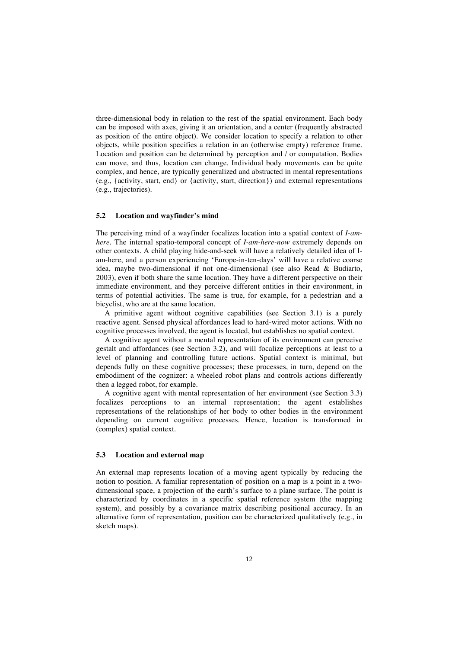three-dimensional body in relation to the rest of the spatial environment. Each body can be imposed with axes, giving it an orientation, and a center (frequently abstracted as position of the entire object). We consider location to specify a relation to other objects, while position specifies a relation in an (otherwise empty) reference frame. Location and position can be determined by perception and / or computation. Bodies can move, and thus, location can change. Individual body movements can be quite complex, and hence, are typically generalized and abstracted in mental representations (e.g., {activity, start, end} or {activity, start, direction}) and external representations (e.g., trajectories).

### **5.2 Location and wayfinder's mind**

The perceiving mind of a wayfinder focalizes location into a spatial context of *I-amhere*. The internal spatio-temporal concept of *I-am-here-now* extremely depends on other contexts. A child playing hide-and-seek will have a relatively detailed idea of Iam-here, and a person experiencing 'Europe-in-ten-days' will have a relative coarse idea, maybe two-dimensional if not one-dimensional (see also Read & Budiarto, 2003), even if both share the same location. They have a different perspective on their immediate environment, and they perceive different entities in their environment, in terms of potential activities. The same is true, for example, for a pedestrian and a bicyclist, who are at the same location.

A primitive agent without cognitive capabilities (see Section 3.1) is a purely reactive agent. Sensed physical affordances lead to hard-wired motor actions. With no cognitive processes involved, the agent is located, but establishes no spatial context.

A cognitive agent without a mental representation of its environment can perceive gestalt and affordances (see Section 3.2), and will focalize perceptions at least to a level of planning and controlling future actions. Spatial context is minimal, but depends fully on these cognitive processes; these processes, in turn, depend on the embodiment of the cognizer: a wheeled robot plans and controls actions differently then a legged robot, for example.

A cognitive agent with mental representation of her environment (see Section 3.3) focalizes perceptions to an internal representation; the agent establishes representations of the relationships of her body to other bodies in the environment depending on current cognitive processes. Hence, location is transformed in (complex) spatial context.

#### **5.3 Location and external map**

An external map represents location of a moving agent typically by reducing the notion to position. A familiar representation of position on a map is a point in a twodimensional space, a projection of the earth's surface to a plane surface. The point is characterized by coordinates in a specific spatial reference system (the mapping system), and possibly by a covariance matrix describing positional accuracy. In an alternative form of representation, position can be characterized qualitatively (e.g., in sketch maps).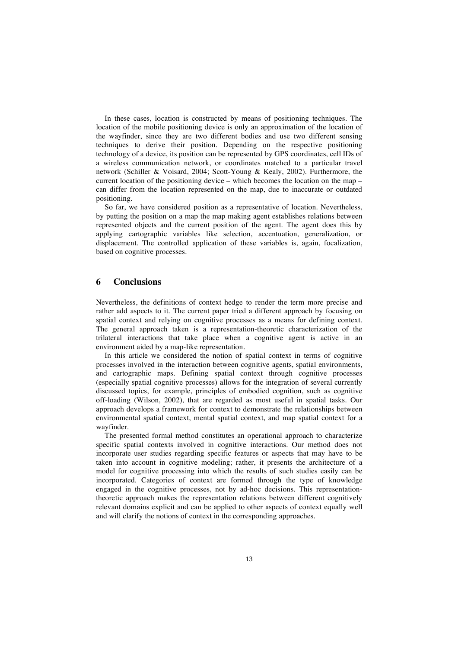In these cases, location is constructed by means of positioning techniques. The location of the mobile positioning device is only an approximation of the location of the wayfinder, since they are two different bodies and use two different sensing techniques to derive their position. Depending on the respective positioning technology of a device, its position can be represented by GPS coordinates, cell IDs of a wireless communication network, or coordinates matched to a particular travel network (Schiller & Voisard, 2004; Scott-Young & Kealy, 2002). Furthermore, the current location of the positioning device – which becomes the location on the map – can differ from the location represented on the map, due to inaccurate or outdated positioning.

So far, we have considered position as a representative of location. Nevertheless, by putting the position on a map the map making agent establishes relations between represented objects and the current position of the agent. The agent does this by applying cartographic variables like selection, accentuation, generalization, or displacement. The controlled application of these variables is, again, focalization, based on cognitive processes.

### **6 Conclusions**

Nevertheless, the definitions of context hedge to render the term more precise and rather add aspects to it. The current paper tried a different approach by focusing on spatial context and relying on cognitive processes as a means for defining context. The general approach taken is a representation-theoretic characterization of the trilateral interactions that take place when a cognitive agent is active in an environment aided by a map-like representation.

In this article we considered the notion of spatial context in terms of cognitive processes involved in the interaction between cognitive agents, spatial environments, and cartographic maps. Defining spatial context through cognitive processes (especially spatial cognitive processes) allows for the integration of several currently discussed topics, for example, principles of embodied cognition, such as cognitive off-loading (Wilson, 2002), that are regarded as most useful in spatial tasks. Our approach develops a framework for context to demonstrate the relationships between environmental spatial context, mental spatial context, and map spatial context for a wayfinder.

The presented formal method constitutes an operational approach to characterize specific spatial contexts involved in cognitive interactions. Our method does not incorporate user studies regarding specific features or aspects that may have to be taken into account in cognitive modeling; rather, it presents the architecture of a model for cognitive processing into which the results of such studies easily can be incorporated. Categories of context are formed through the type of knowledge engaged in the cognitive processes, not by ad-hoc decisions. This representationtheoretic approach makes the representation relations between different cognitively relevant domains explicit and can be applied to other aspects of context equally well and will clarify the notions of context in the corresponding approaches.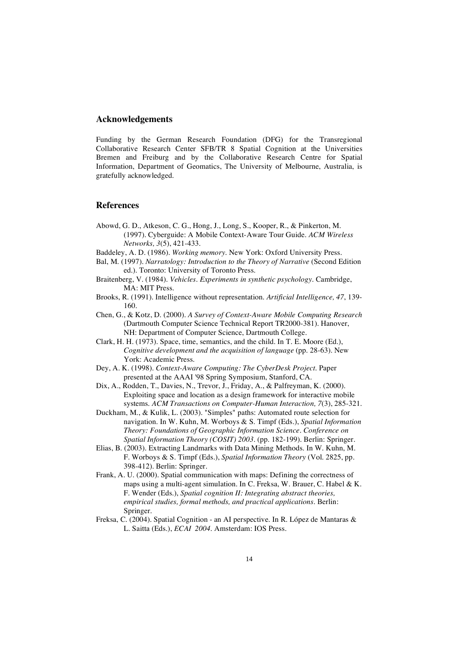### **Acknowledgements**

Funding by the German Research Foundation (DFG) for the Transregional Collaborative Research Center SFB/TR 8 Spatial Cognition at the Universities Bremen and Freiburg and by the Collaborative Research Centre for Spatial Information, Department of Geomatics, The University of Melbourne, Australia, is gratefully acknowledged.

#### **References**

- Abowd, G. D., Atkeson, C. G., Hong, J., Long, S., Kooper, R., & Pinkerton, M. (1997). Cyberguide: A Mobile Context-Aware Tour Guide. *ACM Wireless Networks, 3*(5), 421-433.
- Baddeley, A. D. (1986). *Working memory*. New York: Oxford University Press.
- Bal, M. (1997). *Narratology: Introduction to the Theory of Narrative* (Second Edition ed.). Toronto: University of Toronto Press.
- Braitenberg, V. (1984). *Vehicles. Experiments in synthetic psychology*. Cambridge, MA: MIT Press.
- Brooks, R. (1991). Intelligence without representation. *Artificial Intelligence, 47*, 139- 160.
- Chen, G., & Kotz, D. (2000). *A Survey of Context-Aware Mobile Computing Research* (Dartmouth Computer Science Technical Report TR2000-381). Hanover, NH: Department of Computer Science, Dartmouth College.
- Clark, H. H. (1973). Space, time, semantics, and the child. In T. E. Moore (Ed.), *Cognitive development and the acquisition of language* (pp. 28-63). New York: Academic Press.
- Dey, A. K. (1998). *Context-Aware Computing: The CyberDesk Project.* Paper presented at the AAAI '98 Spring Symposium, Stanford, CA.
- Dix, A., Rodden, T., Davies, N., Trevor, J., Friday, A., & Palfreyman, K. (2000). Exploiting space and location as a design framework for interactive mobile systems. *ACM Transactions on Computer-Human Interaction, 7*(3), 285-321.
- Duckham, M., & Kulik, L. (2003). "Simples" paths: Automated route selection for navigation. In W. Kuhn, M. Worboys & S. Timpf (Eds.), *Spatial Information Theory: Foundations of Geographic Information Science. Conference on Spatial Information Theory (COSIT) 2003.* (pp. 182-199). Berlin: Springer.
- Elias, B. (2003). Extracting Landmarks with Data Mining Methods. In W. Kuhn, M. F. Worboys & S. Timpf (Eds.), *Spatial Information Theory* (Vol. 2825, pp. 398-412). Berlin: Springer.
- Frank, A. U. (2000). Spatial communication with maps: Defining the correctness of maps using a multi-agent simulation. In C. Freksa, W. Brauer, C. Habel & K. F. Wender (Eds.), *Spatial cognition II: Integrating abstract theories, empirical studies, formal methods, and practical applications*. Berlin: Springer.
- Freksa, C. (2004). Spatial Cognition an AI perspective. In R. López de Mantaras & L. Saitta (Eds.), *ECAI 2004*. Amsterdam: IOS Press.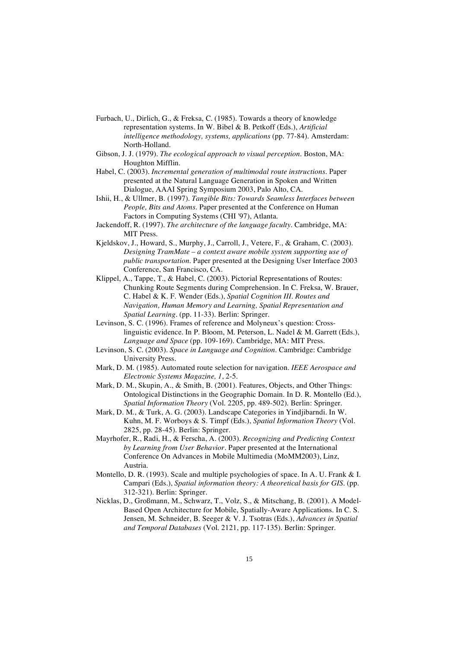- Furbach, U., Dirlich, G., & Freksa, C. (1985). Towards a theory of knowledge representation systems. In W. Bibel & B. Petkoff (Eds.), *Artificial intelligence methodology, systems, applications* (pp. 77-84). Amsterdam: North-Holland.
- Gibson, J. J. (1979). *The ecological approach to visual perception*. Boston, MA: Houghton Mifflin.
- Habel, C. (2003). *Incremental generation of multimodal route instructions.* Paper presented at the Natural Language Generation in Spoken and Written Dialogue, AAAI Spring Symposium 2003, Palo Alto, CA.
- Ishii, H., & Ullmer, B. (1997). *Tangible Bits: Towards Seamless Interfaces between People, Bits and Atoms.* Paper presented at the Conference on Human Factors in Computing Systems (CHI '97), Atlanta.
- Jackendoff, R. (1997). *The architecture of the language faculty*. Cambridge, MA: MIT Press.
- Kjeldskov, J., Howard, S., Murphy, J., Carroll, J., Vetere, F., & Graham, C. (2003). *Designing TramMate – a context aware mobile system supporting use of public transportation.* Paper presented at the Designing User Interface 2003 Conference, San Francisco, CA.
- Klippel, A., Tappe, T., & Habel, C. (2003). Pictorial Representations of Routes: Chunking Route Segments during Comprehension. In C. Freksa, W. Brauer, C. Habel & K. F. Wender (Eds.), *Spatial Cognition III. Routes and Navigation, Human Memory and Learning, Spatial Representation and Spatial Learning.* (pp. 11-33). Berlin: Springer.
- Levinson, S. C. (1996). Frames of reference and Molyneux's question: Crosslinguistic evidence. In P. Bloom, M. Peterson, L. Nadel & M. Garrett (Eds.), *Language and Space* (pp. 109-169). Cambridge, MA: MIT Press.
- Levinson, S. C. (2003). *Space in Language and Cognition*. Cambridge: Cambridge University Press.
- Mark, D. M. (1985). Automated route selection for navigation. *IEEE Aerospace and Electronic Systems Magazine, 1*, 2-5.
- Mark, D. M., Skupin, A., & Smith, B. (2001). Features, Objects, and Other Things: Ontological Distinctions in the Geographic Domain. In D. R. Montello (Ed.), *Spatial Information Theory* (Vol. 2205, pp. 489-502). Berlin: Springer.
- Mark, D. M., & Turk, A. G. (2003). Landscape Categories in Yindjibarndi. In W. Kuhn, M. F. Worboys & S. Timpf (Eds.), *Spatial Information Theory* (Vol. 2825, pp. 28-45). Berlin: Springer.
- Mayrhofer, R., Radi, H., & Ferscha, A. (2003). *Recognizing and Predicting Context by Learning from User Behavior.* Paper presented at the International Conference On Advances in Mobile Multimedia (MoMM2003), Linz, Austria.
- Montello, D. R. (1993). Scale and multiple psychologies of space. In A. U. Frank & I. Campari (Eds.), *Spatial information theory: A theoretical basis for GIS.* (pp. 312-321). Berlin: Springer.
- Nicklas, D., Großmann, M., Schwarz, T., Volz, S., & Mitschang, B. (2001). A Model-Based Open Architecture for Mobile, Spatially-Aware Applications. In C. S. Jensen, M. Schneider, B. Seeger & V. J. Tsotras (Eds.), *Advances in Spatial and Temporal Databases* (Vol. 2121, pp. 117-135). Berlin: Springer.